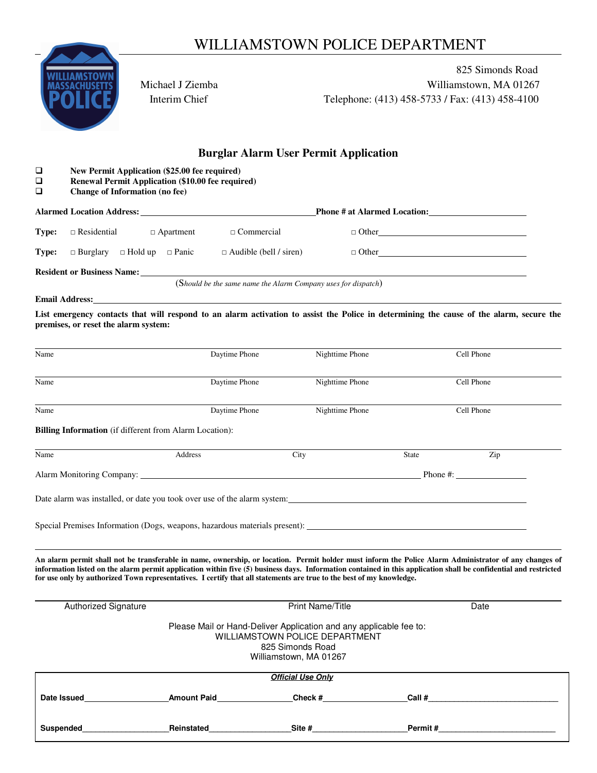## WILLIAMSTOWN POLICE DEPARTMENT



825 Simonds Road **THEFTS** Michael J Ziemba Michael Milliamstown, MA 01267 **Interim Chief Telephone: (413) 458-5733 / Fax: (413) 458-4100** 

## **Burglar Alarm User Permit Application**

|             |                                                                                                                                                                                                                                                                                                                                                                                                                                                   |                   | ригдіат жағш өзегі стипт жүрисанон |       |                                               |
|-------------|---------------------------------------------------------------------------------------------------------------------------------------------------------------------------------------------------------------------------------------------------------------------------------------------------------------------------------------------------------------------------------------------------------------------------------------------------|-------------------|------------------------------------|-------|-----------------------------------------------|
| ❏<br>❏<br>❏ | New Permit Application (\$25.00 fee required)<br>Renewal Permit Application (\$10.00 fee required)<br><b>Change of Information (no fee)</b>                                                                                                                                                                                                                                                                                                       |                   |                                    |       |                                               |
|             |                                                                                                                                                                                                                                                                                                                                                                                                                                                   |                   |                                    |       |                                               |
| Type:       | $\Box$ Residential<br>$\Box$ Apartment                                                                                                                                                                                                                                                                                                                                                                                                            | $\Box$ Commercial |                                    |       | $\Box \text{ Other} \underline{\hspace{2cm}}$ |
| Type:       | $\Box$ Burglary $\Box$ Hold up $\Box$ Panic $\Box$ Audible (bell / siren)                                                                                                                                                                                                                                                                                                                                                                         |                   |                                    |       | $\Box$ Other                                  |
|             | <b>Resident or Business Name:</b> (Should be the same name the Alarm Company uses for dispatch)                                                                                                                                                                                                                                                                                                                                                   |                   |                                    |       |                                               |
|             |                                                                                                                                                                                                                                                                                                                                                                                                                                                   |                   |                                    |       |                                               |
|             | <b>Email Address:</b>                                                                                                                                                                                                                                                                                                                                                                                                                             |                   |                                    |       |                                               |
|             | List emergency contacts that will respond to an alarm activation to assist the Police in determining the cause of the alarm, secure the<br>premises, or reset the alarm system:                                                                                                                                                                                                                                                                   |                   |                                    |       |                                               |
| Name        |                                                                                                                                                                                                                                                                                                                                                                                                                                                   | Daytime Phone     | Nighttime Phone                    |       | Cell Phone                                    |
| Name        |                                                                                                                                                                                                                                                                                                                                                                                                                                                   | Daytime Phone     | Nighttime Phone                    |       | Cell Phone                                    |
| Name        |                                                                                                                                                                                                                                                                                                                                                                                                                                                   | Daytime Phone     | Nighttime Phone                    |       | Cell Phone                                    |
|             | Billing Information (if different from Alarm Location):                                                                                                                                                                                                                                                                                                                                                                                           |                   |                                    |       |                                               |
| Name        |                                                                                                                                                                                                                                                                                                                                                                                                                                                   | Address           | City                               | State | Zip                                           |
|             |                                                                                                                                                                                                                                                                                                                                                                                                                                                   |                   |                                    |       | Phone $\#$ :                                  |
|             | Date alarm was installed, or date you took over use of the alarm system:                                                                                                                                                                                                                                                                                                                                                                          |                   |                                    |       |                                               |
|             |                                                                                                                                                                                                                                                                                                                                                                                                                                                   |                   |                                    |       |                                               |
|             | An alarm permit shall not be transferable in name, ownership, or location. Permit holder must inform the Police Alarm Administrator of any changes of<br>information listed on the alarm permit application within five (5) business days. Information contained in this application shall be confidential and restricted<br>for use only by authorized Town representatives. I certify that all statements are true to the best of my knowledge. |                   |                                    |       |                                               |
|             | <b>Authorized Signature</b>                                                                                                                                                                                                                                                                                                                                                                                                                       |                   | <b>Print Name/Title</b>            |       | Date                                          |

Please Mail or Hand-Deliver Application and any applicable fee to: WILLIAMSTOWN POLICE DEPARTMENT 825 Simonds Road

Williamstown, MA 01267

| <b>Official Use Only</b> |                    |         |         |  |  |  |
|--------------------------|--------------------|---------|---------|--|--|--|
| Date Issued              | <b>Amount Paid</b> | Check # | Call #  |  |  |  |
|                          |                    |         |         |  |  |  |
| Suspended                | Reinstated         | Site #  | Permit# |  |  |  |
|                          |                    |         |         |  |  |  |